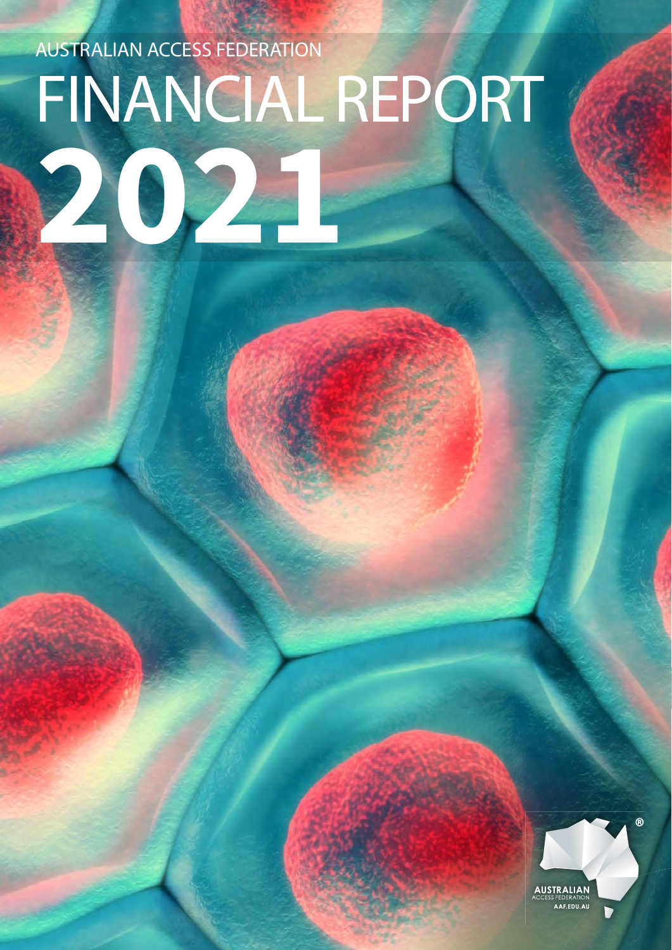# FINANCIAL REPORT AUSTRALIAN ACCESS FEDERATION 202

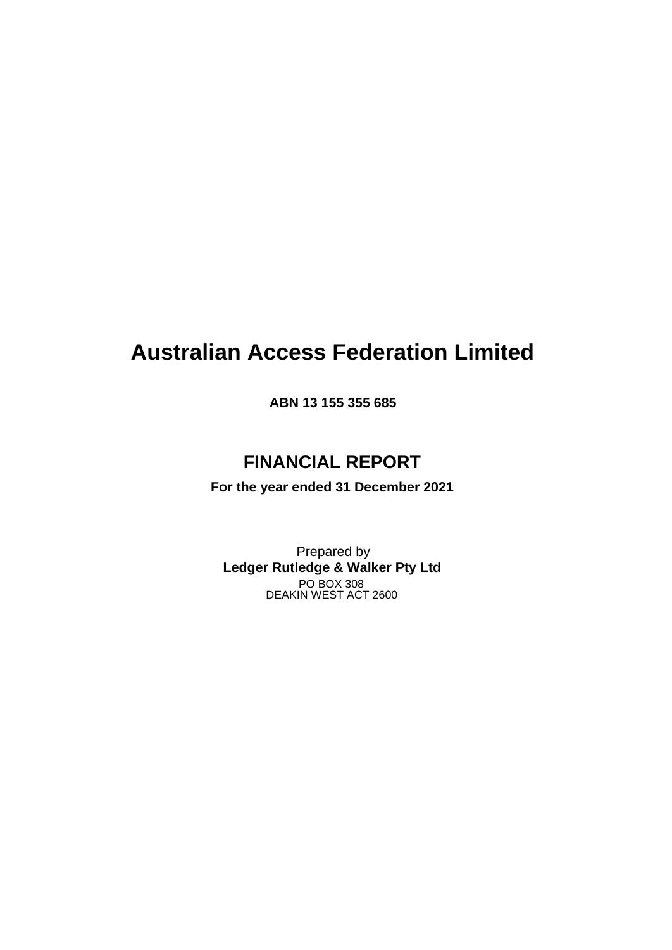# **Australian Access Federation Limited**

**ABN 13 155 355 685**

## **FINANCIAL REPORT**

**For the year ended 31 December 2021**

Prepared by **Ledger Rutledge & Walker Pty Ltd** PO BOX 308 DEAKIN WEST ACT 2600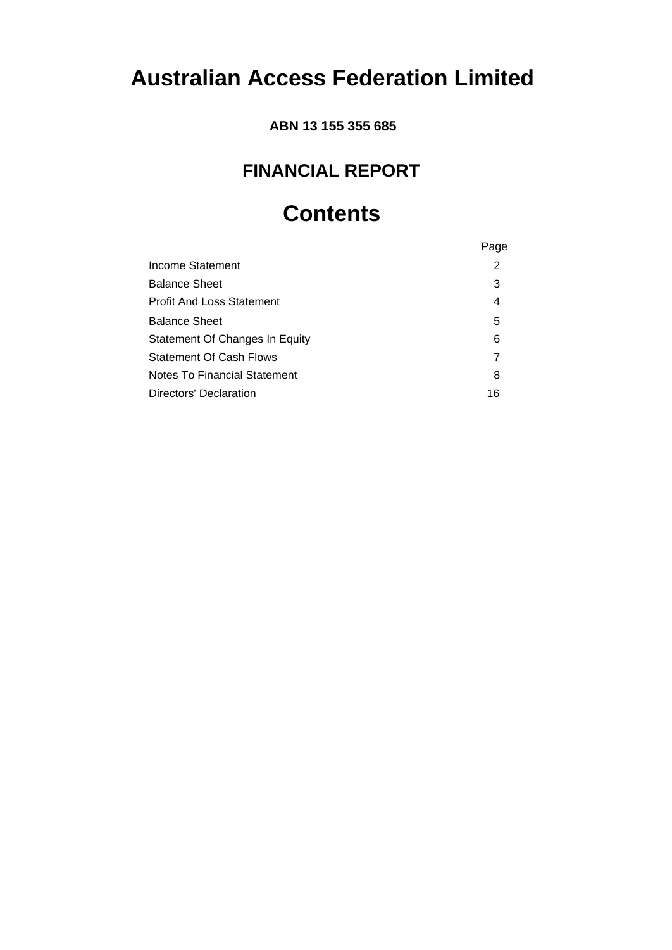# **Australian Access Federation Limited**

**ABN 13 155 355 685**

## **FINANCIAL REPORT**

# **Contents**

|                                  | Page |
|----------------------------------|------|
| Income Statement                 | 2    |
| <b>Balance Sheet</b>             | 3    |
| <b>Profit And Loss Statement</b> | 4    |
| <b>Balance Sheet</b>             | 5    |
| Statement Of Changes In Equity   | 6    |
| <b>Statement Of Cash Flows</b>   | 7    |
| Notes To Financial Statement     | 8    |
| <b>Directors' Declaration</b>    | 16   |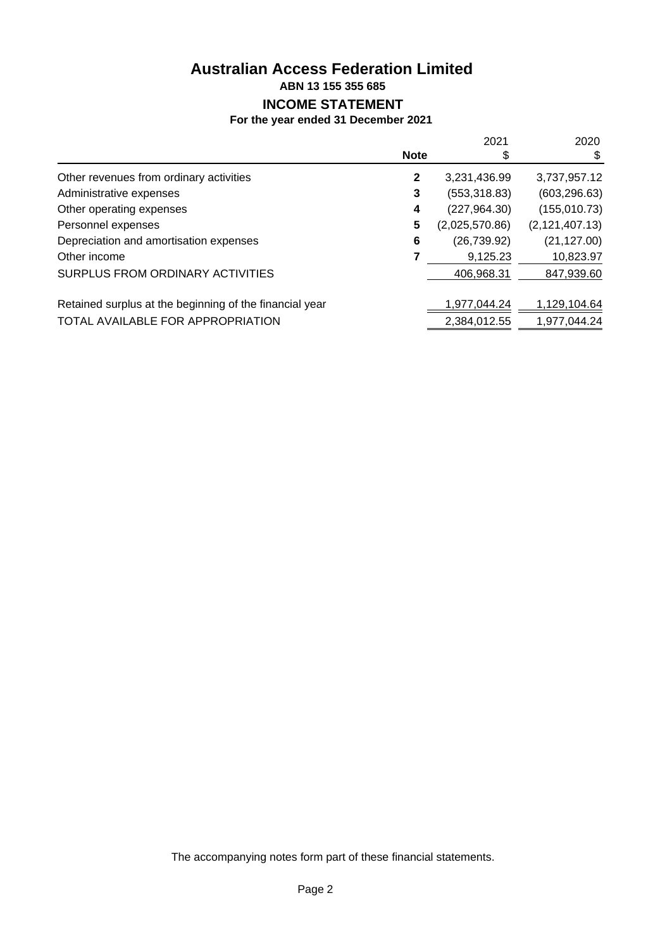## **Australian Access Federation Limited ABN 13 155 355 685 INCOME STATEMENT**

#### **For the year ended 31 December 2021**

|                                                         | <b>Note</b>  | 2021           | 2020<br>\$       |
|---------------------------------------------------------|--------------|----------------|------------------|
| Other revenues from ordinary activities                 | $\mathbf{2}$ | 3,231,436.99   | 3,737,957.12     |
| Administrative expenses                                 | 3            | (553, 318.83)  | (603, 296.63)    |
| Other operating expenses                                | 4            | (227, 964.30)  | (155, 010.73)    |
| Personnel expenses                                      | 5            | (2,025,570.86) | (2, 121, 407.13) |
| Depreciation and amortisation expenses                  | 6            | (26, 739.92)   | (21, 127.00)     |
| Other income                                            |              | 9,125.23       | 10,823.97        |
| SURPLUS FROM ORDINARY ACTIVITIES                        |              | 406,968.31     | 847,939.60       |
| Retained surplus at the beginning of the financial year |              | 1,977,044.24   | 1,129,104.64     |
| TOTAL AVAILABLE FOR APPROPRIATION                       |              | 2,384,012.55   | 1,977,044.24     |

The accompanying notes form part of these financial statements.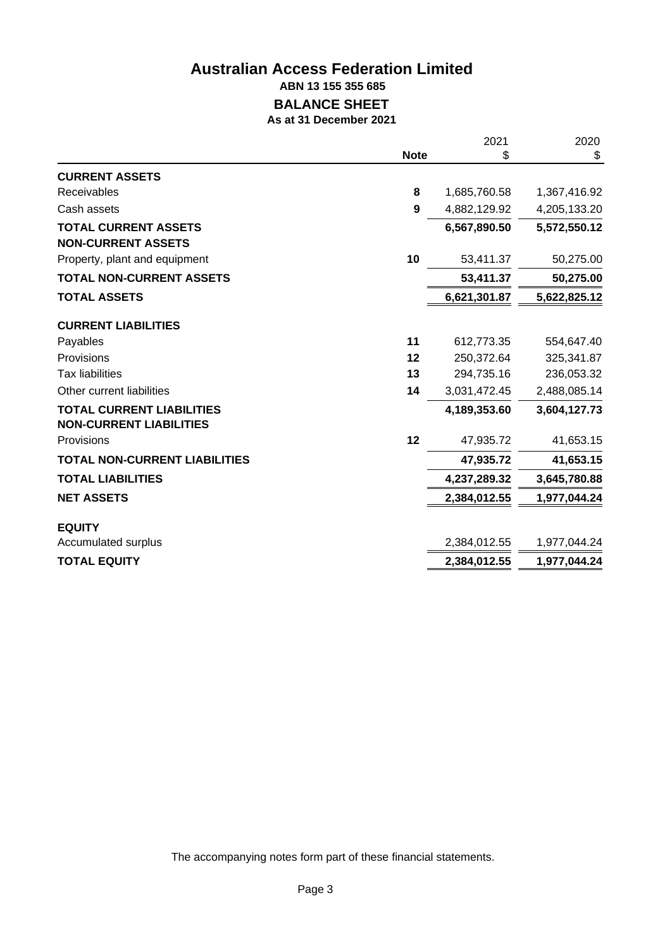## **Australian Access Federation Limited ABN 13 155 355 685 BALANCE SHEET As at 31 December 2021**

|                                                                    |             | 2021         | 2020         |
|--------------------------------------------------------------------|-------------|--------------|--------------|
|                                                                    | <b>Note</b> | \$           | \$           |
| <b>CURRENT ASSETS</b>                                              |             |              |              |
| Receivables                                                        | 8           | 1,685,760.58 | 1,367,416.92 |
| Cash assets                                                        | 9           | 4,882,129.92 | 4,205,133.20 |
| <b>TOTAL CURRENT ASSETS</b>                                        |             | 6,567,890.50 | 5,572,550.12 |
| <b>NON-CURRENT ASSETS</b>                                          |             |              |              |
| Property, plant and equipment                                      | 10          | 53,411.37    | 50,275.00    |
| <b>TOTAL NON-CURRENT ASSETS</b>                                    |             | 53,411.37    | 50,275.00    |
| <b>TOTAL ASSETS</b>                                                |             | 6,621,301.87 | 5,622,825.12 |
| <b>CURRENT LIABILITIES</b>                                         |             |              |              |
| Payables                                                           | 11          | 612,773.35   | 554,647.40   |
| Provisions                                                         | 12          | 250,372.64   | 325,341.87   |
| <b>Tax liabilities</b>                                             | 13          | 294,735.16   | 236,053.32   |
| Other current liabilities                                          | 14          | 3,031,472.45 | 2,488,085.14 |
| <b>TOTAL CURRENT LIABILITIES</b><br><b>NON-CURRENT LIABILITIES</b> |             | 4,189,353.60 | 3,604,127.73 |
| Provisions                                                         | 12          | 47,935.72    | 41,653.15    |
| <b>TOTAL NON-CURRENT LIABILITIES</b>                               |             | 47,935.72    | 41,653.15    |
| <b>TOTAL LIABILITIES</b>                                           |             | 4,237,289.32 | 3,645,780.88 |
| <b>NET ASSETS</b>                                                  |             | 2,384,012.55 | 1,977,044.24 |
| <b>EQUITY</b>                                                      |             |              |              |
| Accumulated surplus                                                |             | 2,384,012.55 | 1,977,044.24 |
| <b>TOTAL EQUITY</b>                                                |             | 2,384,012.55 | 1,977,044.24 |

The accompanying notes form part of these financial statements.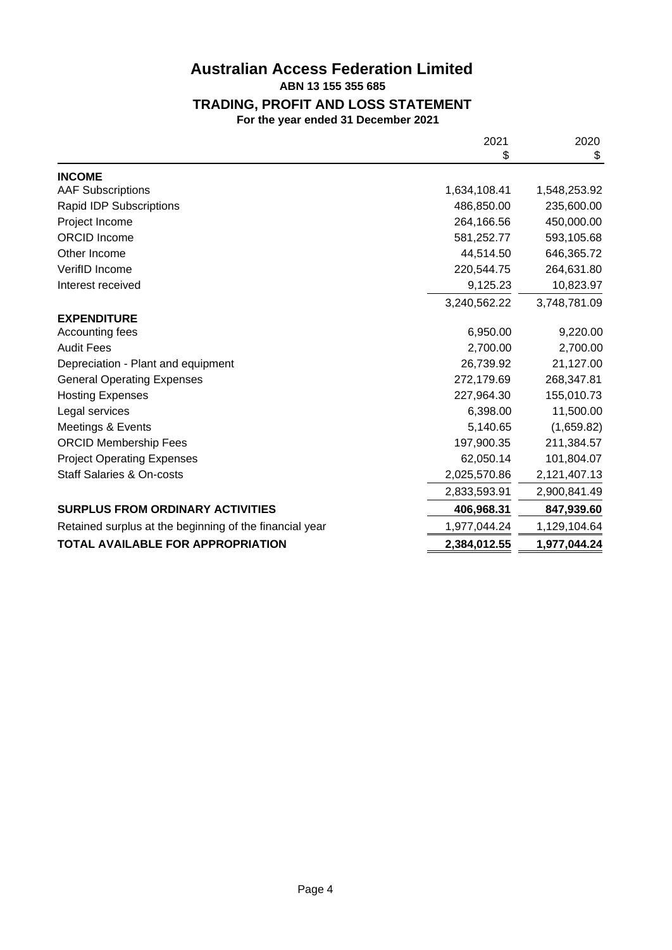## **Australian Access Federation Limited ABN 13 155 355 685 TRADING, PROFIT AND LOSS STATEMENT For the year ended 31 December 2021**

|                                                         | 2021         | 2020         |
|---------------------------------------------------------|--------------|--------------|
|                                                         | \$           | \$           |
| <b>INCOME</b>                                           |              |              |
| <b>AAF Subscriptions</b>                                | 1,634,108.41 | 1,548,253.92 |
| Rapid IDP Subscriptions                                 | 486,850.00   | 235,600.00   |
| Project Income                                          | 264,166.56   | 450,000.00   |
| <b>ORCID</b> Income                                     | 581,252.77   | 593,105.68   |
| Other Income                                            | 44,514.50    | 646,365.72   |
| VerifID Income                                          | 220,544.75   | 264,631.80   |
| Interest received                                       | 9,125.23     | 10,823.97    |
|                                                         | 3,240,562.22 | 3,748,781.09 |
| <b>EXPENDITURE</b>                                      |              |              |
| Accounting fees                                         | 6,950.00     | 9,220.00     |
| <b>Audit Fees</b>                                       | 2,700.00     | 2,700.00     |
| Depreciation - Plant and equipment                      | 26,739.92    | 21,127.00    |
| <b>General Operating Expenses</b>                       | 272,179.69   | 268,347.81   |
| <b>Hosting Expenses</b>                                 | 227,964.30   | 155,010.73   |
| Legal services                                          | 6,398.00     | 11,500.00    |
| Meetings & Events                                       | 5,140.65     | (1,659.82)   |
| <b>ORCID Membership Fees</b>                            | 197,900.35   | 211,384.57   |
| <b>Project Operating Expenses</b>                       | 62,050.14    | 101,804.07   |
| <b>Staff Salaries &amp; On-costs</b>                    | 2,025,570.86 | 2,121,407.13 |
|                                                         | 2,833,593.91 | 2,900,841.49 |
| <b>SURPLUS FROM ORDINARY ACTIVITIES</b>                 | 406,968.31   | 847,939.60   |
| Retained surplus at the beginning of the financial year | 1,977,044.24 | 1,129,104.64 |
| TOTAL AVAILABLE FOR APPROPRIATION                       | 2,384,012.55 | 1,977,044.24 |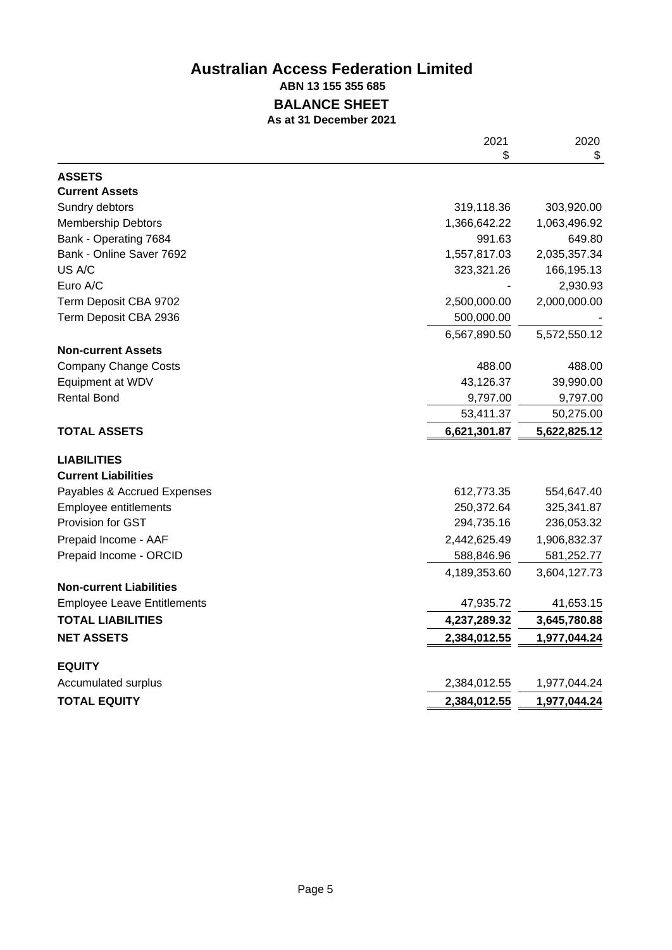## **Australian Access Federation Limited ABN 13 155 355 685 BALANCE SHEET As at 31 December 2021**

|                                    | 2021<br>\$   | 2020<br>\$   |
|------------------------------------|--------------|--------------|
| <b>ASSETS</b>                      |              |              |
| <b>Current Assets</b>              |              |              |
| Sundry debtors                     | 319,118.36   | 303,920.00   |
| Membership Debtors                 | 1,366,642.22 | 1,063,496.92 |
| Bank - Operating 7684              | 991.63       | 649.80       |
| Bank - Online Saver 7692           | 1,557,817.03 | 2,035,357.34 |
| US A/C                             | 323,321.26   | 166,195.13   |
| Euro A/C                           |              | 2,930.93     |
| Term Deposit CBA 9702              | 2,500,000.00 | 2,000,000.00 |
| Term Deposit CBA 2936              | 500,000.00   |              |
|                                    | 6,567,890.50 | 5,572,550.12 |
| <b>Non-current Assets</b>          |              |              |
| <b>Company Change Costs</b>        | 488.00       | 488.00       |
| Equipment at WDV                   | 43,126.37    | 39,990.00    |
| <b>Rental Bond</b>                 | 9,797.00     | 9,797.00     |
|                                    | 53,411.37    | 50,275.00    |
| <b>TOTAL ASSETS</b>                | 6,621,301.87 | 5,622,825.12 |
| <b>LIABILITIES</b>                 |              |              |
| <b>Current Liabilities</b>         |              |              |
| Payables & Accrued Expenses        | 612,773.35   | 554,647.40   |
| Employee entitlements              | 250,372.64   | 325,341.87   |
| Provision for GST                  | 294,735.16   | 236,053.32   |
| Prepaid Income - AAF               | 2,442,625.49 | 1,906,832.37 |
| Prepaid Income - ORCID             | 588,846.96   | 581,252.77   |
|                                    | 4,189,353.60 | 3,604,127.73 |
| <b>Non-current Liabilities</b>     |              |              |
| <b>Employee Leave Entitlements</b> | 47,935.72    | 41,653.15    |
| <b>TOTAL LIABILITIES</b>           | 4,237,289.32 | 3,645,780.88 |
| <b>NET ASSETS</b>                  | 2,384,012.55 | 1,977,044.24 |
| <b>EQUITY</b>                      |              |              |
| Accumulated surplus                | 2,384,012.55 | 1,977,044.24 |
| <b>TOTAL EQUITY</b>                | 2,384,012.55 | 1,977,044.24 |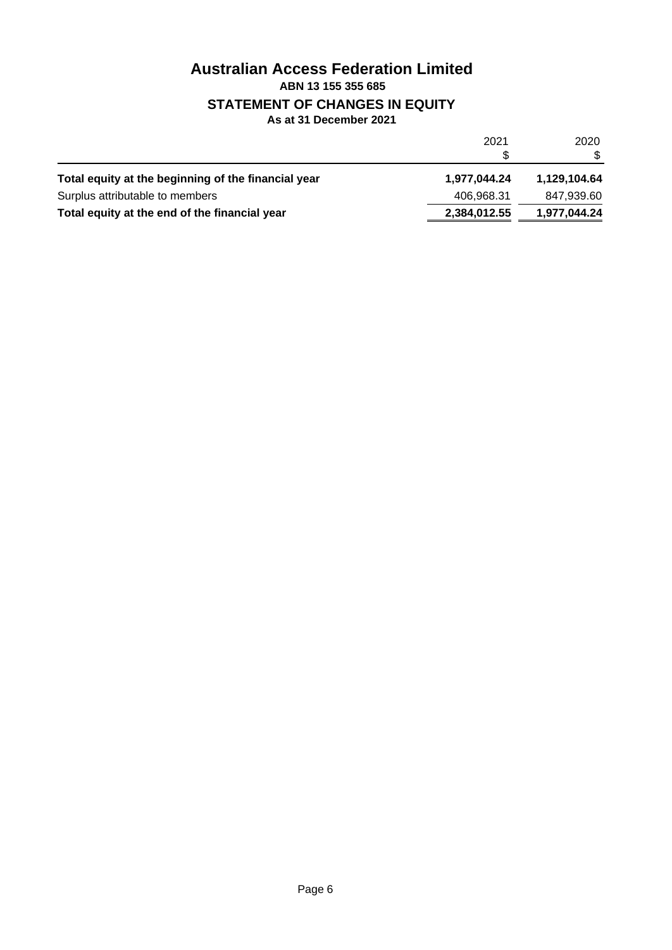## **Australian Access Federation Limited ABN 13 155 355 685 STATEMENT OF CHANGES IN EQUITY As at 31 December 2021**

|                                                     | 2021         | 2020         |
|-----------------------------------------------------|--------------|--------------|
| Total equity at the beginning of the financial year | 1,977,044.24 | 1,129,104.64 |
| Surplus attributable to members                     | 406,968.31   | 847,939.60   |
| Total equity at the end of the financial year       | 2,384,012.55 | 1,977,044.24 |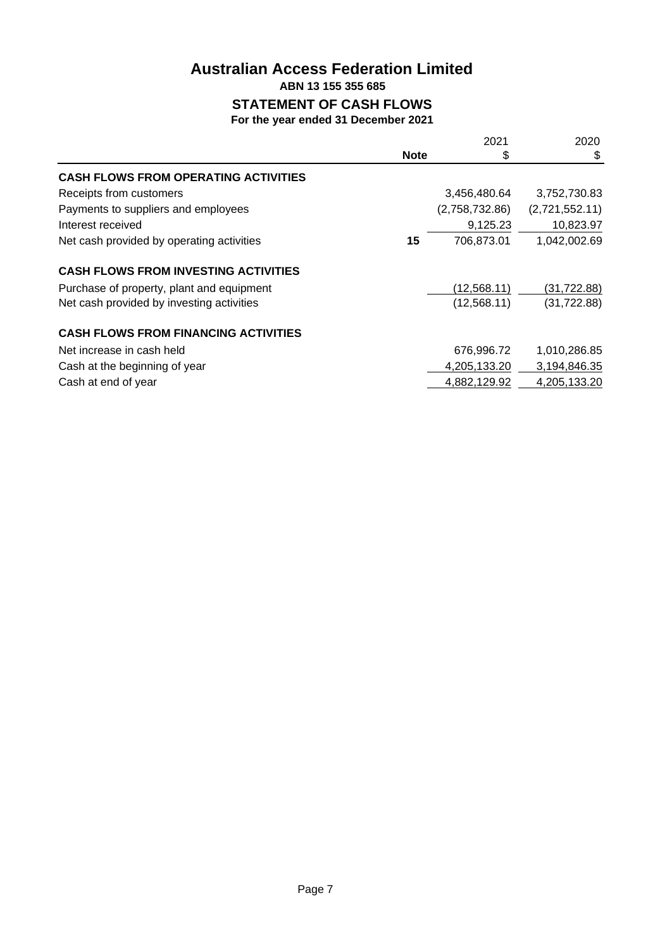## **Australian Access Federation Limited ABN 13 155 355 685 STATEMENT OF CASH FLOWS**

**For the year ended 31 December 2021**

|                                             | <b>Note</b> | 2021<br>\$     | 2020<br>\$     |
|---------------------------------------------|-------------|----------------|----------------|
| <b>CASH FLOWS FROM OPERATING ACTIVITIES</b> |             |                |                |
| Receipts from customers                     |             | 3,456,480.64   | 3,752,730.83   |
| Payments to suppliers and employees         |             | (2,758,732.86) | (2,721,552.11) |
| Interest received                           |             | 9,125.23       | 10,823.97      |
| Net cash provided by operating activities   | 15          | 706,873.01     | 1,042,002.69   |
| <b>CASH FLOWS FROM INVESTING ACTIVITIES</b> |             |                |                |
| Purchase of property, plant and equipment   |             | (12, 568.11)   | (31, 722.88)   |
| Net cash provided by investing activities   |             | (12, 568.11)   | (31, 722.88)   |
| <b>CASH FLOWS FROM FINANCING ACTIVITIES</b> |             |                |                |
| Net increase in cash held                   |             | 676,996.72     | 1,010,286.85   |
| Cash at the beginning of year               |             | 4,205,133.20   | 3,194,846.35   |
| Cash at end of year                         |             | 4,882,129.92   | 4,205,133.20   |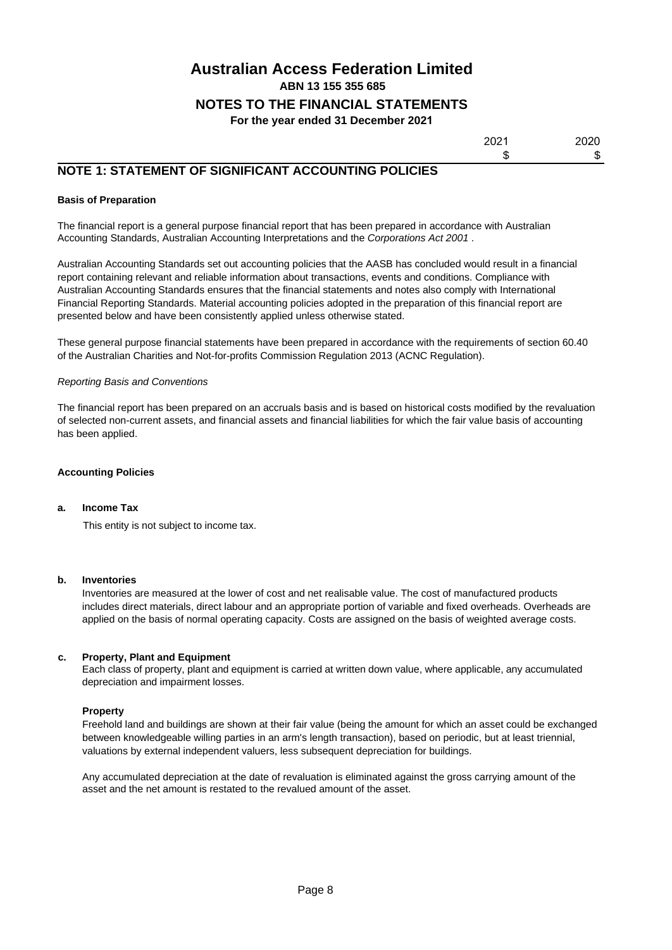## **Australian Access Federation Limited ABN 13 155 355 685 NOTES TO THE FINANCIAL STATEMENTS**

**For the year ended 31 December 2021**

| 2021 | 2020 |
|------|------|
|      |      |

## **NOTE 1: STATEMENT OF SIGNIFICANT ACCOUNTING POLICIES**

#### **Basis of Preparation**

The financial report is a general purpose financial report that has been prepared in accordance with Australian Accounting Standards, Australian Accounting Interpretations and the *Corporations Act 2001* .

Australian Accounting Standards set out accounting policies that the AASB has concluded would result in a financial report containing relevant and reliable information about transactions, events and conditions. Compliance with Australian Accounting Standards ensures that the financial statements and notes also comply with International Financial Reporting Standards. Material accounting policies adopted in the preparation of this financial report are presented below and have been consistently applied unless otherwise stated.

These general purpose financial statements have been prepared in accordance with the requirements of section 60.40 of the Australian Charities and Not-for-profits Commission Regulation 2013 (ACNC Regulation).

#### *Reporting Basis and Conventions*

The financial report has been prepared on an accruals basis and is based on historical costs modified by the revaluation of selected non-current assets, and financial assets and financial liabilities for which the fair value basis of accounting has been applied.

#### **Accounting Policies**

#### **a. Income Tax**

This entity is not subject to income tax.

#### **b. Inventories**

Inventories are measured at the lower of cost and net realisable value. The cost of manufactured products includes direct materials, direct labour and an appropriate portion of variable and fixed overheads. Overheads are applied on the basis of normal operating capacity. Costs are assigned on the basis of weighted average costs.

#### **c. Property, Plant and Equipment**

Each class of property, plant and equipment is carried at written down value, where applicable, any accumulated depreciation and impairment losses.

#### **Property**

Freehold land and buildings are shown at their fair value (being the amount for which an asset could be exchanged between knowledgeable willing parties in an arm's length transaction), based on periodic, but at least triennial, valuations by external independent valuers, less subsequent depreciation for buildings.

Any accumulated depreciation at the date of revaluation is eliminated against the gross carrying amount of the asset and the net amount is restated to the revalued amount of the asset.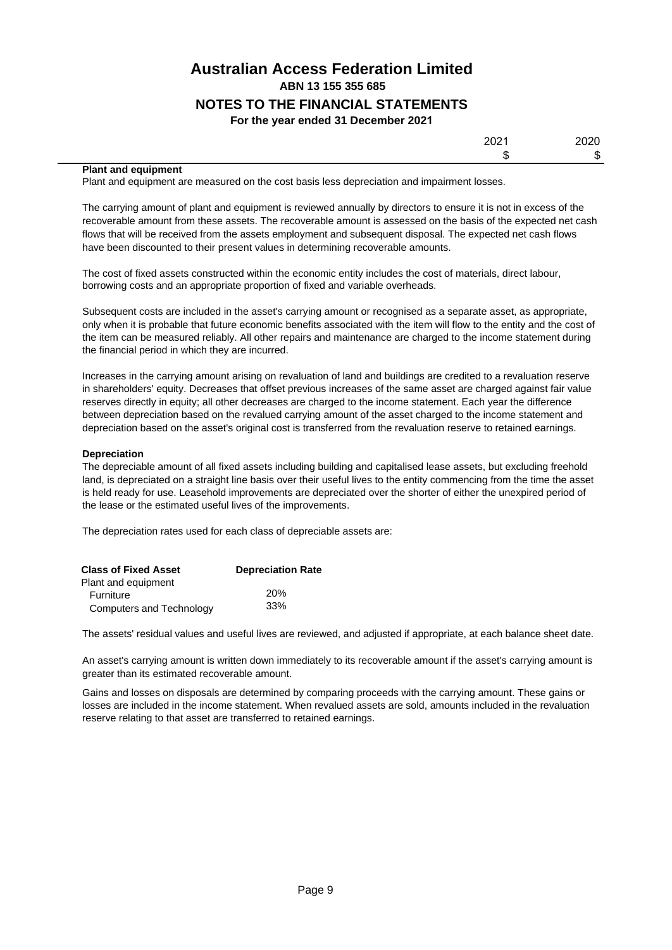| 2021<br><b>LULI</b> | חרחר<br>−∪∠∪ |
|---------------------|--------------|
| u                   | æ<br>.T)     |

#### **Plant and equipment**

Plant and equipment are measured on the cost basis less depreciation and impairment losses.

The carrying amount of plant and equipment is reviewed annually by directors to ensure it is not in excess of the recoverable amount from these assets. The recoverable amount is assessed on the basis of the expected net cash flows that will be received from the assets employment and subsequent disposal. The expected net cash flows have been discounted to their present values in determining recoverable amounts.

The cost of fixed assets constructed within the economic entity includes the cost of materials, direct labour, borrowing costs and an appropriate proportion of fixed and variable overheads.

Subsequent costs are included in the asset's carrying amount or recognised as a separate asset, as appropriate, only when it is probable that future economic benefits associated with the item will flow to the entity and the cost of the item can be measured reliably. All other repairs and maintenance are charged to the income statement during the financial period in which they are incurred.

Increases in the carrying amount arising on revaluation of land and buildings are credited to a revaluation reserve in shareholders' equity. Decreases that offset previous increases of the same asset are charged against fair value reserves directly in equity; all other decreases are charged to the income statement. Each year the difference between depreciation based on the revalued carrying amount of the asset charged to the income statement and depreciation based on the asset's original cost is transferred from the revaluation reserve to retained earnings.

#### **Depreciation**

The depreciable amount of all fixed assets including building and capitalised lease assets, but excluding freehold land, is depreciated on a straight line basis over their useful lives to the entity commencing from the time the asset is held ready for use. Leasehold improvements are depreciated over the shorter of either the unexpired period of the lease or the estimated useful lives of the improvements.

The depreciation rates used for each class of depreciable assets are:

| <b>Class of Fixed Asset</b> | <b>Depreciation Rate</b> |
|-----------------------------|--------------------------|
| Plant and equipment         |                          |
| <b>Furniture</b>            | 20%                      |
| Computers and Technology    | 33%                      |

The assets' residual values and useful lives are reviewed, and adjusted if appropriate, at each balance sheet date.

An asset's carrying amount is written down immediately to its recoverable amount if the asset's carrying amount is greater than its estimated recoverable amount.

Gains and losses on disposals are determined by comparing proceeds with the carrying amount. These gains or losses are included in the income statement. When revalued assets are sold, amounts included in the revaluation reserve relating to that asset are transferred to retained earnings.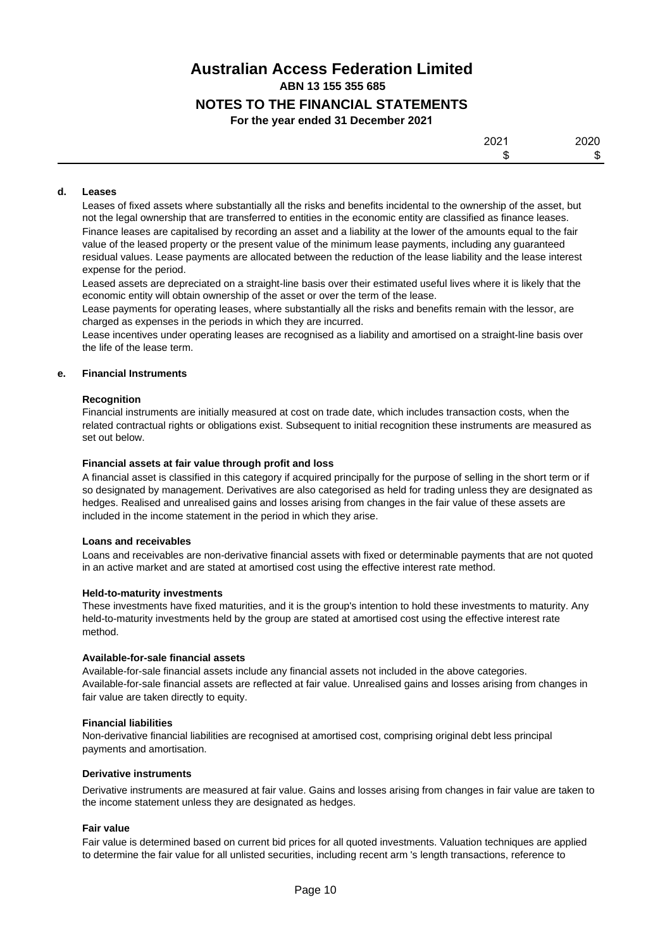| 2021 | 2020 |
|------|------|
|      |      |

#### **d. Leases**

Leases of fixed assets where substantially all the risks and benefits incidental to the ownership of the asset, but not the legal ownership that are transferred to entities in the economic entity are classified as finance leases. Finance leases are capitalised by recording an asset and a liability at the lower of the amounts equal to the fair value of the leased property or the present value of the minimum lease payments, including any guaranteed residual values. Lease payments are allocated between the reduction of the lease liability and the lease interest expense for the period.

Leased assets are depreciated on a straight-line basis over their estimated useful lives where it is likely that the economic entity will obtain ownership of the asset or over the term of the lease.

Lease payments for operating leases, where substantially all the risks and benefits remain with the lessor, are charged as expenses in the periods in which they are incurred.

Lease incentives under operating leases are recognised as a liability and amortised on a straight-line basis over the life of the lease term.

#### **e. Financial Instruments**

#### **Recognition**

Financial instruments are initially measured at cost on trade date, which includes transaction costs, when the related contractual rights or obligations exist. Subsequent to initial recognition these instruments are measured as set out below.

#### **Financial assets at fair value through profit and loss**

A financial asset is classified in this category if acquired principally for the purpose of selling in the short term or if so designated by management. Derivatives are also categorised as held for trading unless they are designated as hedges. Realised and unrealised gains and losses arising from changes in the fair value of these assets are included in the income statement in the period in which they arise.

#### **Loans and receivables**

Loans and receivables are non-derivative financial assets with fixed or determinable payments that are not quoted in an active market and are stated at amortised cost using the effective interest rate method.

#### **Held-to-maturity investments**

These investments have fixed maturities, and it is the group's intention to hold these investments to maturity. Any held-to-maturity investments held by the group are stated at amortised cost using the effective interest rate method.

#### **Available-for-sale financial assets**

Available-for-sale financial assets include any financial assets not included in the above categories. Available-for-sale financial assets are reflected at fair value. Unrealised gains and losses arising from changes in fair value are taken directly to equity.

#### **Financial liabilities**

Non-derivative financial liabilities are recognised at amortised cost, comprising original debt less principal payments and amortisation.

#### **Derivative instruments**

Derivative instruments are measured at fair value. Gains and losses arising from changes in fair value are taken to the income statement unless they are designated as hedges.

#### **Fair value**

Fair value is determined based on current bid prices for all quoted investments. Valuation techniques are applied to determine the fair value for all unlisted securities, including recent arm 's length transactions, reference to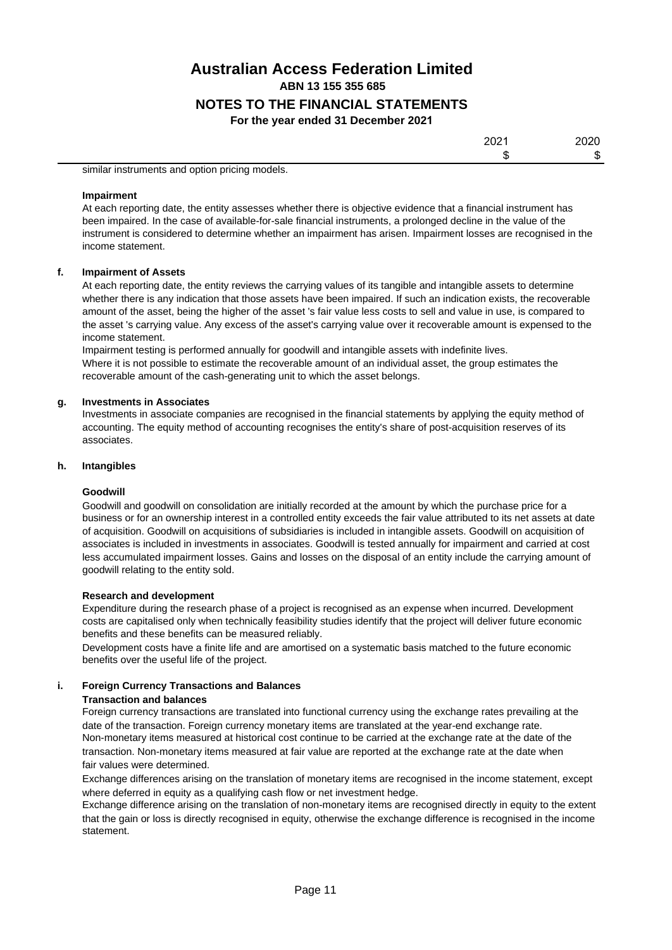| 2021 | 2020 |  |
|------|------|--|
| Œ    | \$   |  |

similar instruments and option pricing models.

#### **Impairment**

At each reporting date, the entity assesses whether there is objective evidence that a financial instrument has been impaired. In the case of available-for-sale financial instruments, a prolonged decline in the value of the instrument is considered to determine whether an impairment has arisen. Impairment losses are recognised in the income statement.

#### **f. Impairment of Assets**

At each reporting date, the entity reviews the carrying values of its tangible and intangible assets to determine whether there is any indication that those assets have been impaired. If such an indication exists, the recoverable amount of the asset, being the higher of the asset 's fair value less costs to sell and value in use, is compared to the asset 's carrying value. Any excess of the asset's carrying value over it recoverable amount is expensed to the income statement.

Impairment testing is performed annually for goodwill and intangible assets with indefinite lives. Where it is not possible to estimate the recoverable amount of an individual asset, the group estimates the recoverable amount of the cash-generating unit to which the asset belongs.

#### **g. Investments in Associates**

Investments in associate companies are recognised in the financial statements by applying the equity method of accounting. The equity method of accounting recognises the entity's share of post-acquisition reserves of its associates.

#### **h. Intangibles**

#### **Goodwill**

Goodwill and goodwill on consolidation are initially recorded at the amount by which the purchase price for a business or for an ownership interest in a controlled entity exceeds the fair value attributed to its net assets at date of acquisition. Goodwill on acquisitions of subsidiaries is included in intangible assets. Goodwill on acquisition of associates is included in investments in associates. Goodwill is tested annually for impairment and carried at cost less accumulated impairment losses. Gains and losses on the disposal of an entity include the carrying amount of goodwill relating to the entity sold.

#### **Research and development**

Expenditure during the research phase of a project is recognised as an expense when incurred. Development costs are capitalised only when technically feasibility studies identify that the project will deliver future economic benefits and these benefits can be measured reliably.

Development costs have a finite life and are amortised on a systematic basis matched to the future economic benefits over the useful life of the project.

#### **i. Foreign Currency Transactions and Balances**

#### **Transaction and balances**

Foreign currency transactions are translated into functional currency using the exchange rates prevailing at the date of the transaction. Foreign currency monetary items are translated at the year-end exchange rate. Non-monetary items measured at historical cost continue to be carried at the exchange rate at the date of the transaction. Non-monetary items measured at fair value are reported at the exchange rate at the date when fair values were determined.

Exchange differences arising on the translation of monetary items are recognised in the income statement, except where deferred in equity as a qualifying cash flow or net investment hedge.

Exchange difference arising on the translation of non-monetary items are recognised directly in equity to the extent that the gain or loss is directly recognised in equity, otherwise the exchange difference is recognised in the income statement.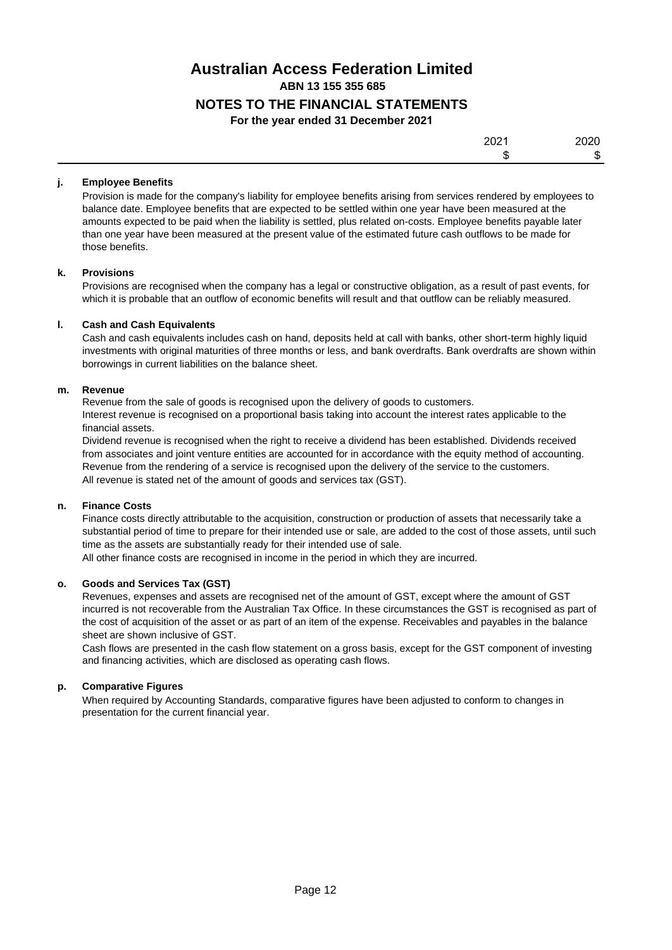| 2021 | 2020 |
|------|------|
|      |      |

#### **j. Employee Benefits**

Provision is made for the company's liability for employee benefits arising from services rendered by employees to balance date. Employee benefits that are expected to be settled within one year have been measured at the amounts expected to be paid when the liability is settled, plus related on-costs. Employee benefits payable later than one year have been measured at the present value of the estimated future cash outflows to be made for those benefits.

#### **k. Provisions**

Provisions are recognised when the company has a legal or constructive obligation, as a result of past events, for which it is probable that an outflow of economic benefits will result and that outflow can be reliably measured.

#### **l. Cash and Cash Equivalents**

Cash and cash equivalents includes cash on hand, deposits held at call with banks, other short-term highly liquid investments with original maturities of three months or less, and bank overdrafts. Bank overdrafts are shown within borrowings in current liabilities on the balance sheet.

#### **m. Revenue**

Revenue from the sale of goods is recognised upon the delivery of goods to customers. Interest revenue is recognised on a proportional basis taking into account the interest rates applicable to the financial assets.

Dividend revenue is recognised when the right to receive a dividend has been established. Dividends received from associates and joint venture entities are accounted for in accordance with the equity method of accounting. Revenue from the rendering of a service is recognised upon the delivery of the service to the customers. All revenue is stated net of the amount of goods and services tax (GST).

#### **n. Finance Costs**

Finance costs directly attributable to the acquisition, construction or production of assets that necessarily take a substantial period of time to prepare for their intended use or sale, are added to the cost of those assets, until such time as the assets are substantially ready for their intended use of sale.

All other finance costs are recognised in income in the period in which they are incurred.

#### **o. Goods and Services Tax (GST)**

Revenues, expenses and assets are recognised net of the amount of GST, except where the amount of GST incurred is not recoverable from the Australian Tax Office. In these circumstances the GST is recognised as part of the cost of acquisition of the asset or as part of an item of the expense. Receivables and payables in the balance sheet are shown inclusive of GST.

Cash flows are presented in the cash flow statement on a gross basis, except for the GST component of investing and financing activities, which are disclosed as operating cash flows.

#### **p. Comparative Figures**

When required by Accounting Standards, comparative figures have been adjusted to conform to changes in presentation for the current financial year.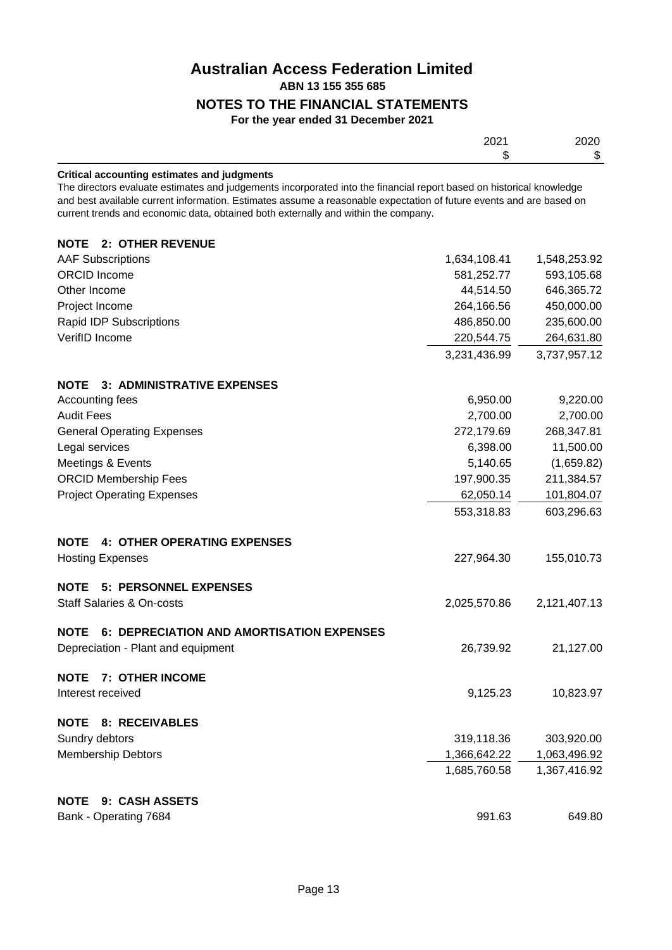| m<br>٨IJ |             |
|----------|-------------|
| 2021     | <b>POOC</b> |
|          |             |

#### **Critical accounting estimates and judgments**

The directors evaluate estimates and judgements incorporated into the financial report based on historical knowledge and best available current information. Estimates assume a reasonable expectation of future events and are based on current trends and economic data, obtained both externally and within the company.

| <b>NOTE 2: OTHER REVENUE</b>                             |              |              |
|----------------------------------------------------------|--------------|--------------|
| <b>AAF Subscriptions</b>                                 | 1,634,108.41 | 1,548,253.92 |
| <b>ORCID</b> Income                                      | 581,252.77   | 593,105.68   |
| Other Income                                             | 44,514.50    | 646,365.72   |
| Project Income                                           | 264,166.56   | 450,000.00   |
| Rapid IDP Subscriptions                                  | 486,850.00   | 235,600.00   |
| VerifID Income                                           | 220,544.75   | 264,631.80   |
|                                                          | 3,231,436.99 | 3,737,957.12 |
| <b>NOTE</b> 3: ADMINISTRATIVE EXPENSES                   |              |              |
| Accounting fees                                          | 6,950.00     | 9,220.00     |
| <b>Audit Fees</b>                                        | 2,700.00     | 2,700.00     |
| <b>General Operating Expenses</b>                        | 272,179.69   | 268,347.81   |
| Legal services                                           | 6,398.00     | 11,500.00    |
| Meetings & Events                                        | 5,140.65     | (1,659.82)   |
| <b>ORCID Membership Fees</b>                             | 197,900.35   | 211,384.57   |
| <b>Project Operating Expenses</b>                        | 62,050.14    | 101,804.07   |
|                                                          | 553,318.83   | 603,296.63   |
| NOTE 4: OTHER OPERATING EXPENSES                         |              |              |
| <b>Hosting Expenses</b>                                  | 227,964.30   | 155,010.73   |
| <b>NOTE 5: PERSONNEL EXPENSES</b>                        |              |              |
| <b>Staff Salaries &amp; On-costs</b>                     | 2,025,570.86 | 2,121,407.13 |
| <b>NOTE</b><br>6: DEPRECIATION AND AMORTISATION EXPENSES |              |              |
| Depreciation - Plant and equipment                       | 26,739.92    | 21,127.00    |
| <b>NOTE</b><br><b>7: OTHER INCOME</b>                    |              |              |
| Interest received                                        | 9,125.23     | 10,823.97    |
| <b>NOTE</b><br><b>8: RECEIVABLES</b>                     |              |              |
| Sundry debtors                                           | 319,118.36   | 303,920.00   |
| <b>Membership Debtors</b>                                | 1,366,642.22 | 1,063,496.92 |
|                                                          | 1,685,760.58 | 1,367,416.92 |
| 9: CASH ASSETS<br><b>NOTE</b>                            |              |              |
| Bank - Operating 7684                                    | 991.63       | 649.80       |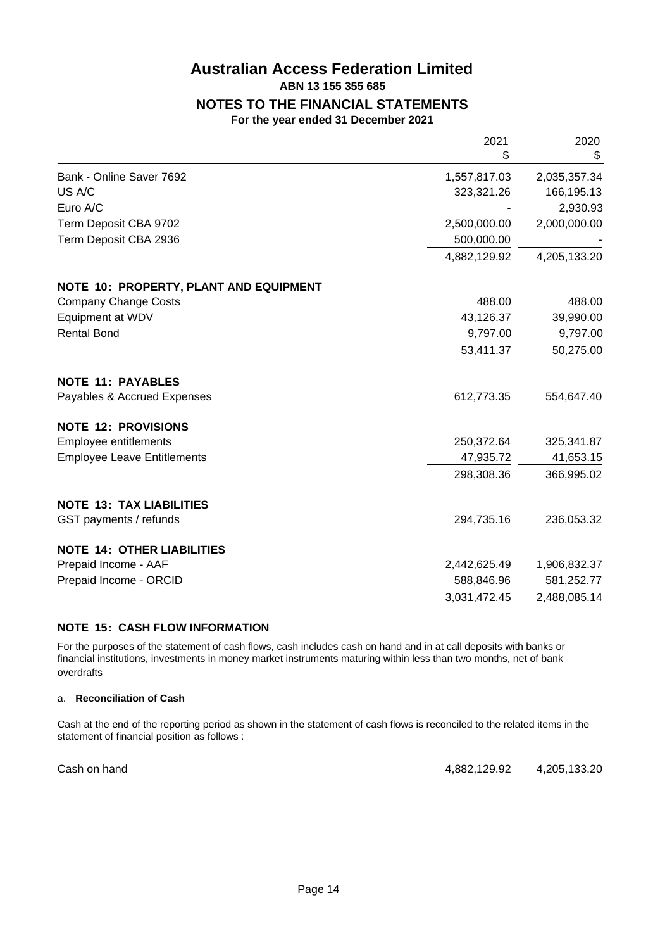## **Australian Access Federation Limited ABN 13 155 355 685 NOTES TO THE FINANCIAL STATEMENTS**

**For the year ended 31 December 2021**

|                                        | 2021<br>\$   | 2020<br>\$   |
|----------------------------------------|--------------|--------------|
| Bank - Online Saver 7692               | 1,557,817.03 | 2,035,357.34 |
| US A/C                                 | 323,321.26   | 166,195.13   |
| Euro A/C                               |              | 2,930.93     |
| Term Deposit CBA 9702                  | 2,500,000.00 | 2,000,000.00 |
| Term Deposit CBA 2936                  | 500,000.00   |              |
|                                        | 4,882,129.92 | 4,205,133.20 |
| NOTE 10: PROPERTY, PLANT AND EQUIPMENT |              |              |
| <b>Company Change Costs</b>            | 488.00       | 488.00       |
| Equipment at WDV                       | 43,126.37    | 39,990.00    |
| <b>Rental Bond</b>                     | 9,797.00     | 9,797.00     |
|                                        | 53,411.37    | 50,275.00    |
| <b>NOTE 11: PAYABLES</b>               |              |              |
| Payables & Accrued Expenses            | 612,773.35   | 554,647.40   |
| <b>NOTE 12: PROVISIONS</b>             |              |              |
| Employee entitlements                  | 250,372.64   | 325,341.87   |
| <b>Employee Leave Entitlements</b>     | 47,935.72    | 41,653.15    |
|                                        | 298,308.36   | 366,995.02   |
| <b>NOTE 13: TAX LIABILITIES</b>        |              |              |
| GST payments / refunds                 | 294,735.16   | 236,053.32   |
| <b>NOTE 14: OTHER LIABILITIES</b>      |              |              |
| Prepaid Income - AAF                   | 2,442,625.49 | 1,906,832.37 |
| Prepaid Income - ORCID                 | 588,846.96   | 581,252.77   |
|                                        | 3,031,472.45 | 2,488,085.14 |

#### **NOTE 15: CASH FLOW INFORMATION**

For the purposes of the statement of cash flows, cash includes cash on hand and in at call deposits with banks or financial institutions, investments in money market instruments maturing within less than two months, net of bank overdrafts

#### a. **Reconciliation of Cash**

Cash at the end of the reporting period as shown in the statement of cash flows is reconciled to the related items in the statement of financial position as follows :

Cash on hand 4,882,129.92 4,205,133.20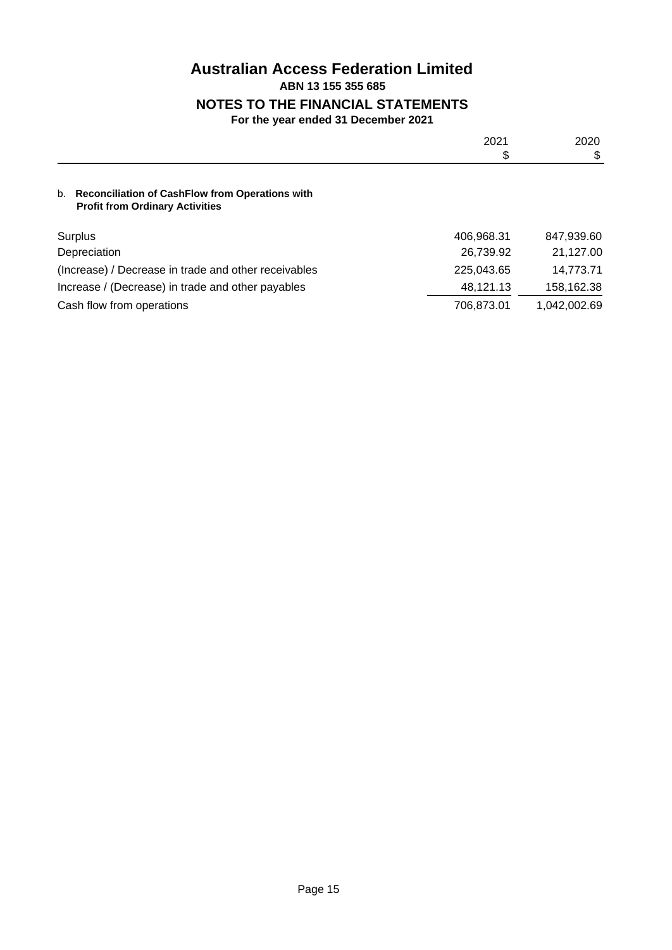## **Australian Access Federation Limited**

## **ABN 13 155 355 685**

## **NOTES TO THE FINANCIAL STATEMENTS**

#### **For the year ended 31 December 2021**

|                                                                                                        | 2021       | 2020         |
|--------------------------------------------------------------------------------------------------------|------------|--------------|
|                                                                                                        | \$         | \$           |
| <b>Reconciliation of CashFlow from Operations with</b><br>b.<br><b>Profit from Ordinary Activities</b> |            |              |
| Surplus                                                                                                | 406,968.31 | 847,939.60   |
| Depreciation                                                                                           | 26,739.92  | 21,127.00    |
| (Increase) / Decrease in trade and other receivables                                                   | 225,043.65 | 14,773.71    |
| Increase / (Decrease) in trade and other payables                                                      | 48,121.13  | 158,162.38   |
| Cash flow from operations                                                                              | 706,873.01 | 1,042,002.69 |